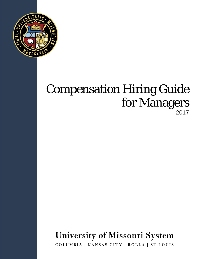

## Compensation Hiring Guide for Managers 2017

# University of Missouri System

COLUMBIA | KANSAS CITY | ROLLA | ST.LOUIS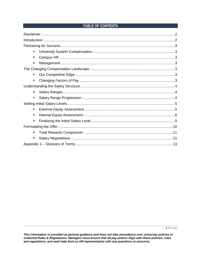#### TABLE OF CONTENTS

| $\blacksquare$ |  |
|----------------|--|
| ٠              |  |
| ٠              |  |
|                |  |
| ٠              |  |
| ٠              |  |
|                |  |
| ٠              |  |
| ٠              |  |
|                |  |
| $\blacksquare$ |  |
| ٠              |  |
| ٠              |  |
|                |  |
| ٠              |  |
| $\blacksquare$ |  |
|                |  |

This information is provided as general guidance and does not take precedence over university policies or<br>Collected Rules & Regulations. Managers must ensure that all pay actions align with these policies, rules and regulations, and seek help from an HR representative with any questions or concerns.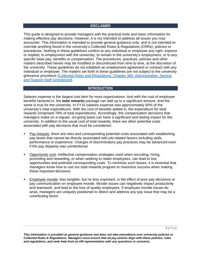#### **DISCLAIMER**

<span id="page-2-0"></span>This guide is designed to provide managers with the practical tools and basic information for making effective pay decisions. However, it is not intended to address all issues you may encounter. This information is intended to provide general guidance only, and is not intended to override anything found in the university's Collected Rules & Regulations (CRRs), policies or procedures. Nothing in these guidelines confers to any individual or employee any right, express or implied, to employment with the university, to remain in the university's employment, or to any specific base pay, benefits or compensation. The procedures, practices, policies and other matters described herein may be modified or discontinued from time to time, at the discretion of the university. These guidelines do not establish an employment agreement or contract with any individual or employee. The matters set forth in these guidelines are not subject to the university grievance procedure [\(Collected Rules and Regulations, Chapter 380: Administrative, Service](https://www.umsystem.edu/ums/rules/collected_rules/grievance/ch380)  [and Support Staff Grievances\)](https://www.umsystem.edu/ums/rules/collected_rules/grievance/ch380).

#### **INTRODUCTION**

<span id="page-2-1"></span>Salaries expense is the largest cost item for most organizations. And with the cost of employee benefits factored in, the **total rewards** package can add up to a significant amount. And the same is true for the university. In FY15 salaries expense was approximately 60% of the university's total expenditures. With the cost of benefits added in, the expenditure for total rewards comprised 78% of total expenditures. Accordingly, the compensation decisions that managers make on a regular, on-going basis can have a significant and lasting impact for the university. In addition to the usual cost of total rewards, there are other potential costs associated with pay decisions that must be considered:

- Pay inequity: there are risks and corresponding potential costs associated with establishing pay levels that cannot be directly associated with job-related factors including skills, performance or experience. Charges of discriminatory pay practices may be advanced even if the pay disparity was unintentional.
- Opportunity cost: ineffective compensation strategies used when recruiting, hiring, promoting and rewarding, or when seeking to retain employees, can lead to lost opportunities and potential corresponding costs. To minimize such losses, it is essential that managers know how to use our total rewards program to maximize success when making these important decisions.
- Employee morale: less tangible, but no less important, is the effect of poor pay decisions or pay communication on employee morale. Morale issues can negatively impact productivity and teamwork, and lead to the loss of quality employees. If employee morale issues do arise, managers are uniquely positioned to detect and address any pay issue that may be a contributing factor.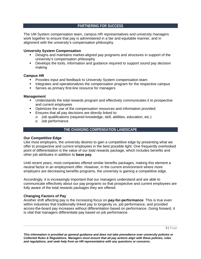#### **PARTNERING FOR SUCCESS**

<span id="page-3-0"></span>The UM System compensation team, campus HR representatives and university managers work together to ensure that pay is administered in a fair and equitable manner, and in alignment with the university's compensation philosophy.

#### <span id="page-3-1"></span>**University System Compensation**

- Designs and maintains market-aligned pay programs and structures in support of the university's compensation philosophy
- Develops the tools, information and guidance required to support sound pay decision making

#### <span id="page-3-2"></span>**Campus HR**

- **Provides input and feedback to University System compensation team**
- Integrates and operationalizes the compensation program for the respective campus
- **Serves as primary first-line resource for managers**

#### <span id="page-3-3"></span>**Management**

- Understands the total rewards program and effectively communicates it to prospective and current employees
- Optimizes the use of the compensation resources and information provided
- **Ensures that all pay decisions are directly linked to:** 
	- o Job qualifications (required knowledge, skill, abilities, education, etc.)
		- o Job performance

#### **THE CHANGING COMPENSATION LANDSCAPE**

#### <span id="page-3-5"></span><span id="page-3-4"></span>**Our Competitive Edge**

Like most employers, the university desires to gain a competitive edge by presenting what we offer to prospective and current employees in the best possible light. One frequently overlooked point of differentiation is the value of our total rewards package, which includes benefits and other job attributes in addition to **base pay**.

Until recent years, most companies offered similar benefits packages, making this element a neutral factor in an employment offer. However, in the current environment where more employers are decreasing benefits programs, the university is gaining a competitive edge.

Accordingly, it is increasingly important that our managers understand and are able to communicate effectively about our pay programs so that prospective and current employees are fully aware of the total rewards packages they are offered.

#### <span id="page-3-6"></span>**Changing Factors of Pay**

Another shift affecting pay is the increasing focus on **pay-for-performance**. This is true even within industries that traditionally linked pay to longevity vs. job performance, and provided across-the-board pay increases without differentiation based on performance. Going forward, it is vital that managers differentiate pay based on job performance.

*and regulations, and seek help from an HR representative with any questions or concerns.*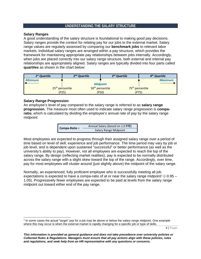#### **UNDERSTANDING THE SALARY STRUCTURE**

#### <span id="page-4-1"></span><span id="page-4-0"></span>**Salary Ranges**

A good understanding of the salary structure is foundational to making good pay decisions. Salary ranges provide the context for relating pay for our jobs to the external market. Salary range values are regularly assessed by comparing our **benchmark jobs** to relevant labor markets. Individual salary ranges are arranged within a pay structure, which provides the framework for maintaining appropriate pay relationships between jobs internally. Accordingly, when iobs are placed correctly into our salary range structure, both external and internal pay relationships are appropriately aligned. Salary ranges are typically divided into four parts called **quartiles** as shown in the chart below:

| $1st$ Quartile |                             | $2nd$ Quartile |                             | 3 <sup>rd</sup> Quartile    | 4 <sup>th</sup> Quartile |
|----------------|-----------------------------|----------------|-----------------------------|-----------------------------|--------------------------|
| <b>Minimum</b> |                             |                |                             |                             | <b>Maximum</b>           |
|                |                             |                | <b>Midpoint</b>             |                             |                          |
|                | 25 <sup>th</sup> percentile |                | 50 <sup>th</sup> percentile | 75 <sup>th</sup> percentile |                          |
|                | (P25)                       |                | (PSO)                       | (P75)                       |                          |

#### <span id="page-4-2"></span>**Salary Range Progression**

An employee's level of pay compared to the salary range is referred to as **salary range progression**. The measure most often used to indicate salary range progression is **comparatio**, which is calculated by dividing the employee's annual rate of pay by the salary range midpoint:

|               | Annual Salary (based on 1.0 FTE) |  |  |  |  |
|---------------|----------------------------------|--|--|--|--|
| Compa-Ratio = | <b>Salary Range Midpoint</b>     |  |  |  |  |

Most employees are expected to progress through their assigned salary range over a period of time based on level of skill, experience and job performance. The time period may vary by job or job level, and is dependent upon sustained "*successful*" or better performance (as well as the university's ability to pay). However, not all employees are expected to reach the top of the salary range. By design (reflecting market realities), pay is expected to be normally distributed across the salary range with a slight skew toward the top of the range. Accordingly, over time, pay for most employees will cluster around (just slightly above) the midpoint of the salary range.

Normally, an experienced, fully proficient employee who is successfully meeting all job expectations is expected to have a compa-ratio of at or near the salary range midpoint<sup>[1](#page-4-3)</sup> ( $\sim$ 0.95 – 1.05). Progressively fewer employees are expected to be paid at levels from the salary range midpoint out toward either end of the pay range.

4 | Page

<span id="page-4-3"></span> <sup>1</sup> In some cases the actual "target" pay for a job may be above or below the salary range midpoint. One example where this may occur is when the external market is rapidly changing for a specific job or type of skills.

*This information is provided as general guidance and does not take precedence over university policies or Collected Rules & Regulations. Managers must ensure that all pay actions align with these policies, rules and regulations, and seek help from an HR representative with any questions or concerns.*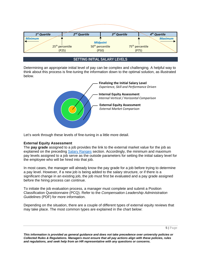

#### **SETTING INITIAL SALARY LEVELS**

<span id="page-5-0"></span>Determining an appropriate initial level of pay can be complex and challenging. A helpful way to think about this process is fine-tuning the information down to the optimal solution, as illustrated below.



Let's work through these levels of fine-tuning in a little more detail.

#### <span id="page-5-1"></span>**External Equity Assessment**

The **pay grade** assigned to a job provides the link to the external market value for the job as explained on the preceding [Salary Ranges](#page-4-1) section. Accordingly, the minimum and maximum pay levels assigned to a job serve as the outside parameters for setting the initial salary level for the employee who will be hired into that job.

In most cases, the manager will already know the pay grade for a job before trying to determine a pay level. However, if a new job is being added to the salary structure, or if there is a significant change in an existing job, the job must first be evaluated and a pay grade assigned before the hiring process can continue.

To initiate the job evaluation process, a manager must complete and submit a Position Classification Questionnaire (PCQ). Refer to the *Compensation Leadership Administration Guidelines* (PDF) for more information.

Depending on the situation, there are a couple of different types of external equity reviews that may take place. The most common types are explained in the chart below: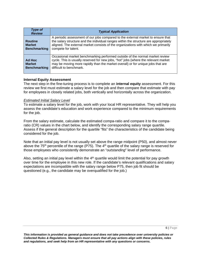| <b>Type of</b><br><b>Review</b>                        | <b>Typical Application</b>                                                                                                                                                                                                                                                             |
|--------------------------------------------------------|----------------------------------------------------------------------------------------------------------------------------------------------------------------------------------------------------------------------------------------------------------------------------------------|
| <b>Routine</b><br><b>Market</b><br><b>Benchmarking</b> | A periodic assessment of our jobs compared to the external market to ensure that<br>the salary structure and the individual ranges within the structure are appropriately<br>aligned. The external market consists of the organizations with which we primarily<br>compete for talent. |
| Ad Hoc<br><b>Market</b><br><b>Benchmarking</b>         | Occasional market benchmarking performed outside of the normal market review<br>cycle. This is usually reserved for new jobs, "hot" jobs (where the relevant market<br>may be moving more rapidly than the market overall) or for unique jobs that are<br>difficult to benchmark.      |

#### <span id="page-6-2"></span><span id="page-6-0"></span>**Internal Equity Assessment**

The next step in the fine-tuning process is to complete an **internal equity** assessment. For this review we first must estimate a salary level for the job and then compare that estimate with pay for employees in closely related jobs, both vertically and horizontally across the organization.

#### <span id="page-6-1"></span>*Estimated Initial Salary Level*

To estimate a salary level for the job, work with your local HR representative. They will help you assess the candidate's education and work experience compared to the minimum requirements for the job.

From the salary estimate, calculate the estimated compa-ratio and compare it to the comparatio (CR) values in the chart below, and identify the corresponding salary range quartile. Assess if the general description for the quartile "fits" the characteristics of the candidate being considered for the job.

Note that an initial pay level is not usually set above the range midpoint (P50), and almost never above the  $75<sup>th</sup>$  percentile of the range (P75). The  $4<sup>th</sup>$  quartile of the salary range is reserved for those employees who consistently demonstrate an "*outstanding*" level of performance.

Also, setting an initial pay level within the  $4<sup>th</sup>$  quartile would limit the potential for pay growth over time for the employee in this new role. If the candidate's relevant qualifications and salary expectations are incompatible with the salary range below P75, then job fit should be questioned (e.g., the candidate may be overqualified for the job.)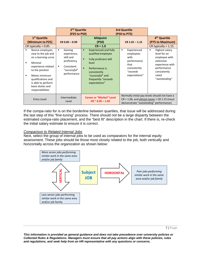|                                                                                                                                                                                                                                                                                                                                                       | 2 <sup>nd</sup> Quartile<br>(P25 to P50)                                                                                        |                                                                                                                       |                                                                                                                                                       | <b>3rd Quartile</b><br>(P50 to P75) |                                                                                                                          |                                                                                                                                                                                                                        |  |
|-------------------------------------------------------------------------------------------------------------------------------------------------------------------------------------------------------------------------------------------------------------------------------------------------------------------------------------------------------|---------------------------------------------------------------------------------------------------------------------------------|-----------------------------------------------------------------------------------------------------------------------|-------------------------------------------------------------------------------------------------------------------------------------------------------|-------------------------------------|--------------------------------------------------------------------------------------------------------------------------|------------------------------------------------------------------------------------------------------------------------------------------------------------------------------------------------------------------------|--|
| 1 <sup>st</sup> Quartile<br>(Minimum to P25)<br>CR typically $< 0.85$<br>Novice employee;<br>$\blacksquare$<br>new to the job and<br>on a learning curve<br>Minimal<br>$\blacksquare$<br>experience related<br>to the position<br>Meets minimum<br>$\blacksquare$<br>qualifications and<br>is able to perform<br>basic duties and<br>responsibilities | $CR$ 0.85 $-$ 0.99<br>Gaining<br>٠<br>experience,<br>skill and<br>proficiency<br>Consistent<br>٠<br>"successful"<br>performance | п<br>$\blacksquare$<br>level<br>Performance is<br>$\blacksquare$<br>consistently<br>"successful" and<br>expectations" | <b>Midpoint</b><br>(P50)<br>$CR = 1.0$<br><b>Experienced and fully</b><br>qualified employee<br><b>Fully proficient skill</b><br>frequently "exceeds" | ٠                                   | $CR$ 1.01 - 1.15<br>Experienced<br>employees<br>with<br>performance<br>that<br>consistently<br>"exceeds<br>expectations" | 4 <sup>th</sup> Quartile<br>(P75 to Maximum)<br>CR typically $> 1.15$<br>Highest salary<br>٠<br>level for an<br>employee with<br>extensive<br>experience with<br>performance<br>consistently<br>rated<br>"outstanding" |  |
| <b>Entry Level</b>                                                                                                                                                                                                                                                                                                                                    | Intermediate<br>Level                                                                                                           |                                                                                                                       | <b>Career or "Market" Level</b><br>$CR \approx 0.95 - 1.05$                                                                                           |                                     | demonstrate "outstanding" performance)                                                                                   | Normally initial pay levels should not have a<br>$CR > 1.06$ , and almost never $> CR 1.15$ (must                                                                                                                      |  |

If the compa-ratio for is on the borderline between quartiles, that issue will be addressed during the last step of this "fine-tuning" process. There should not be a large disparity between the estimated compa-ratio placement, and the "best fit" description in the chart. If there is, re-check the initial salary estimate to ensure it is correct.

#### *Comparison to Related Internal Jobs*

Next, select the group of internal jobs to be used as comparators for the internal equity assessment. These jobs should be those most closely related to the job, both vertically and horizontally across the organization as shown below:

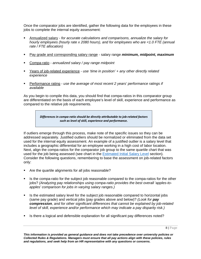Once the comparator jobs are identified, gather the following data for the employees in these jobs to complete the internal equity assessment:

- Annualized salary *for accurate calculations and comparisons, annualize the salary for hourly employees (hourly rate x 2080 hours), and for employees who are <1.0 FTE (annual rate / FTE allocation)*
- Pay grade and corresponding salary range salary range *minimum, midpoint, maximum*
- Compa-ratio *annualized salary / pay range midpoint*
- Years of job-related experience *use 'time in position' + any other directly related experience*
- Performance rating *use the average of most recent 2 years' performance ratings if available*

As you begin to compile this data, you should find that compa-ratios in this comparator group are differentiated on the basis of each employee's level of skill, experience and performance as compared to the relative job requirements.

> *Differences in compa-ratio should be directly attributable to job-related factors such as level of skill, experience and performance.*

If outliers emerge through this process, make note of the specific issues so they can be addressed separately. Justified outliers should be normalized or eliminated from the data set used for the internal equity assessment. An example of a justified outlier is a salary level that includes a geographic differential for an employee working in a high cost of labor location. Next, align the compa-ratios for the comparator job group to the same quartile chart that was used for the job being assessed (see chart in the **Estimated Initial Salary Level** section). Consider the following questions, remembering to base the assessment on job-related factors only:

- Are the quartile alignments for all jobs reasonable?
- Is the compa-ratio for the subject job reasonable compared to the compa-ratios for the other jobs? *(Analyzing pay relationships using compa-ratio provides the best overall 'apples-toapples' comparison for jobs in varying salary ranges.)*
- If Is the estimated salary level for the subject job reasonable compared to horizontal jobs (same pay grade) and vertical jobs (pay grades above and below)? *(Look for pay compression, and for other significant differences that cannot be explained by job-related level of skill, experience and/or performance which may indicate a pay disparity risk.)*
- Is there a logical and defensible explanation for all significant pay differences noted?

8 | Page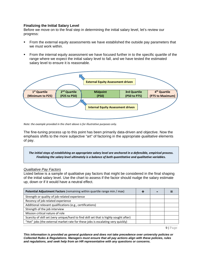#### <span id="page-9-0"></span>**Finalizing the Initial Salary Level**

Before we move on to the final step in determining the initial salary level, let's review our progress:

- **From the external equity assessments we have established the outside pay parameters that** we must work within.
- From the internal equity assessment we have focused further in to the specific quartile of the range where we expect the initial salary level to fall, and we have tested the estimated salary level to ensure it is reasonable.



*Note: the example provided in the chart above is for illustrative purposes only.*

The fine-tuning process up to this point has been primarily data-driven and objective. Now the emphasis shifts to the more subjective "art" of factoring in the appropriate *qualitative* elements of pay.

*The initial steps of establishing an appropriate salary level are anchored in a defensible, empirical process. Finalizing the salary level ultimately is a balance of both quantitative and qualitative variables.*

#### *Qualitative Pay Factors*

Listed below is a sample of qualitative pay factors that might be considered in the final shaping of the initial salary level. Use the chart to assess if the factor should nudge the salary estimate up, down or if it would have a neutral effect.

| <b>Potential Adjustment Factors</b> (remaining within quartile range min / max)        | $\blacksquare$ |  |
|----------------------------------------------------------------------------------------|----------------|--|
| Strength or quality of job-related experience                                          |                |  |
| Recency of job-related experience                                                      |                |  |
| Additional relevant qualifications (e.g., certifications)                              |                |  |
| Strength of the job interview                                                          |                |  |
| Mission critical nature of role                                                        |                |  |
| Scarcity of skill set (very unique/hard to find skill set that is highly sought after) |                |  |
| "Hot" jobs (the external market rate for these jobs is escalating very quickly)        |                |  |

9 | Page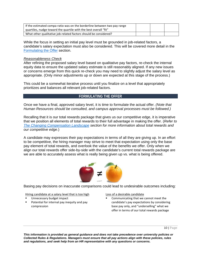| If the estimated compa-ratio was on the borderline between two pay range<br>quartiles, nudge toward the quartile with the best overall "fit" |  |  |
|----------------------------------------------------------------------------------------------------------------------------------------------|--|--|
| What other qualitative job-related factors should be considered?                                                                             |  |  |

While the focus in setting an initial pay level must be grounded in job-related factors, a candidate's salary expectation must also be considered. This will be covered more detail in the [Formulating the Offer](#page-10-0) section.

#### *Reasonableness Check*

After refining the proposed salary level based on qualitative pay factors, re-check the internal equity data to ensure the updated salary estimate is still reasonably aligned. If any new issues or concerns emerge from this quick re-check you may need to slightly adjust the salary level as appropriate. (Only minor adjustments up or down are expected at this stage of the process.)

This could be a somewhat iterative process until you finalize on a level that appropriately prioritizes and balances all relevant job-related factors.

#### **FORMULATING THE OFFER**

<span id="page-10-0"></span>Once we have a final, approved salary level, it is time to formulate the actual offer. *(Note that Human Resources should be consulted, and campus approval processes must be followed.)*

Recalling that it is our total rewards package that gives us our competitive edge, it is imperative that we position all elements of total rewards to their full advantage in making the offer. (*Refer to [The Changing Compensation Landscape](#page-3-4) section for more information about total rewards and our competitive edge*.)

A candidate may expresses their pay expectations in terms of all they are giving up. In an effort to be competitive, the hiring manager may strive to meet that expectation using only the base pay element of total rewards, and overlook the value of the benefits we offer. Only when we align our total rewards offer side-by-side with the candidate's current total rewards package are we are able to accurately assess what is really being given up vs. what is being offered.



Basing pay decisions on inaccurate comparisons could lead to undesirable outcomes including:

Hiring candidate at a salary level that is too high

- Unnecessary budget impact
- <span id="page-10-1"></span> Potential for internal pay inequity and pay compression

Loss of a desirable candidate

■ Communicating that we cannot meet the candidate's pay expectations by considering base pay only, and "underselling" what we offer in terms of our total rewards package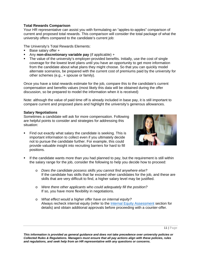#### **Total Rewards Comparison**

Your HR representative can assist you with formulating an "apples-to-apples" comparison of current and proposed total rewards. This comparison will consider the total package of what the university offers compared to the candidate's current job:

The University's Total Rewards Elements:

- $\blacksquare$  Base salary offer  $+$
- Any **non-discretionary variable pay** (if applicable) +
- The value of the university's employer-provided benefits. Initially, use the cost of single coverage for the lowest level plans until you have an opportunity to get more information from the candidate about what plans they might choose. So that you can quickly model alternate scenarios, be prepared with the current cost of premiums paid by the university for other schemes (e.g., + spouse or family).

Once you have a total rewards estimate for the job, compare this to the candidate's current compensation and benefits values (most likely this data will be obtained during the offer discussion, so be prepared to model the information when it is received)

Note: although the value of paid time off is already included in base pay, it is still important to compare current and proposed plans and highlight the university's generous allowances.

#### <span id="page-11-0"></span>**Salary Negotiations**

Sometimes a candidate will ask for more compensation. Following are helpful points to consider and strategies for addressing this situation:

 Find out exactly what salary the candidate is seeking. This is important information to collect even if you ultimately decide not to pursue the candidate further. For example, this could provide valuable insight into recruiting barriers for hard to fill positions.



- If the candidate wants more than you had planned to pay, but the requirement is still within the salary range for the job, consider the following to help you decide how to proceed:
	- o *Does the candidate possess skills you cannot find anywhere else?*  If the candidate has skills that far exceed other candidates for the job, and these are skills that are very difficult to find, a higher salary level may be justified.
	- o *Were there other applicants who could adequately fill the position?* If so, you have more flexibility in negotiations.
	- o *What effect would a higher offer have on internal equity?*  Always recheck internal equity (refer to the [Internal Equity Assessment](#page-6-2) section for details) and obtain additional approvals before proceeding with a counter-offer*.*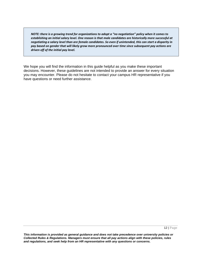*NOTE: there is a growing trend for organizations to adopt a "no negotiation" policy when it comes to establishing an initial salary level. One reason is that male candidates are historically more successful at negotiating a salary level than are female candidates. So even if unintended, this can start a disparity in pay based on gender that will likely grow more pronounced over time since subsequent pay actions are driven off of the initial pay level.* 

We hope you will find the information in this guide helpful as you make these important decisions. However, these guidelines are not intended to provide an answer for every situation you may encounter. Please do not hesitate to contact your campus HR representative if you have questions or need further assistance.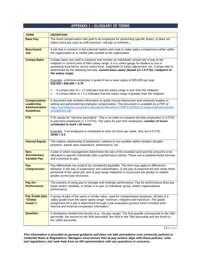#### **APPENDIX 1 – GLOSSARY OF TERMS**

<span id="page-13-0"></span>

| <b>TERM</b>                                                                     | <b>DEFINITION</b>                                                                                                                                                                                                                                                                                                                                                                                        |
|---------------------------------------------------------------------------------|----------------------------------------------------------------------------------------------------------------------------------------------------------------------------------------------------------------------------------------------------------------------------------------------------------------------------------------------------------------------------------------------------------|
| <b>Base Pay</b>                                                                 | The fixed compensation rate paid to an employee for performing specific duties. (It does not<br>reflect extra pay such as shift premium, call pay or overtime.)                                                                                                                                                                                                                                          |
| <b>Benchmark</b><br>Job                                                         | A job that is common in the external market and used to make salary comparisons either within<br>the organization or to similar jobs outside of the organization.                                                                                                                                                                                                                                        |
| <b>Compa-Ratio</b>                                                              | Compa-ratios are used to measure and monitor an individual's actual rate of pay to the<br>midpoint or control point of their salary range. It is a useful gauge for leaders to use in<br>assessing experience versus salary level, magnitude of salary adjustment, etc. Compa-ratio is<br>determined by the following formula: current base salary (based on 1.0 FTE) / midpoint of<br>the salary range. |
|                                                                                 | Example: a full-time employee in grade 8 has a base salary of \$35,000 per year.<br>$$35,000 / $46,500 = 0.75$                                                                                                                                                                                                                                                                                           |
|                                                                                 | A compa-ratio of $< 1.0$ indicates that the salary range is less than the midpoint.<br>A compa-ration of $> 1.0$ indicates that the salary range is greater than the midpoint.                                                                                                                                                                                                                           |
| <b>Compensation</b><br>Leadership<br><b>Administration</b><br><b>Guidelines</b> | A document that contains information to guide Human Resources and university leaders in<br>setting and administering employee compensation. The document is available as a PDF at<br>https://uminfopoint.umsystem.edu/sites/hr/Benefits/COMP/CURRENT/LeadershipAdministratio<br>nGuidelines.pdf                                                                                                          |
| <b>FTE</b>                                                                      | FTE stands for "full-time equivalent". This is an index to compare full time employees (1.0 FTE)<br>to part-time employees $($ < 1.0 FTE). The value for part time employees: <i>number of hours</i><br>scheduled to work / 40 hours.                                                                                                                                                                    |
|                                                                                 | <b>Example:</b> if an employee is scheduled to work 20 hours per week, they are 0.5 FTE:<br>$20/40 = 0.5$                                                                                                                                                                                                                                                                                                |
| <b>Internal Equity</b>                                                          | The relative relationship of employees' salaries to one another within similarly situated<br>positions, based upon experience, performance, etc.                                                                                                                                                                                                                                                         |
| Non-<br>discretionary<br><b>Variable Pay</b>                                    | A plan in which management determines the size of the incentive pool and the amounts to be<br>allocated to specific individuals after a performance period. These use a predetermined formula<br>and a promise to pay.                                                                                                                                                                                   |
| Pay<br><b>Compression</b>                                                       | Pay differentials too small to be considered equitable. The term may apply to differences<br>between 1) the pay of supervisors and subordinates, 2) the pay of experienced and newly hired<br>personnel of the same job, and 3) pay-range midpoints in successive job grades or related<br>grades across pay structures.                                                                                 |
| Pay-for-<br><b>Performance</b>                                                  | The practice of using pay to manage and motivate performance. Pay-for-performance links pay<br>(base and/or variable), in whole or in part, to individual, group, and/or organizational<br>performance.                                                                                                                                                                                                  |
| Pay Grade (aka<br>"Global<br>Grade")                                            | A group of jobs of the same or similar value, used for compensation purposes. All jobs in a<br>salary grade have the same salary range: minimum, midpoint and maximum. The grade<br>assignment for a job is determined through a job evaluation process which includes both<br>internal and external comparator information.                                                                             |
| <b>Quartiles</b>                                                                | A distribution divided into fourths (e.g., the pay range). The first quartile corresponds to the 25th<br>percentile, the second to the 50th percentile, the third to the 75th percentile and the fourth to<br>the 100th percentile.                                                                                                                                                                      |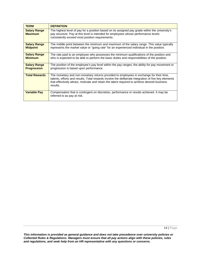| <b>TERM</b>                               | <b>DEFINITION</b>                                                                                                                                                                                                                                                                                           |
|-------------------------------------------|-------------------------------------------------------------------------------------------------------------------------------------------------------------------------------------------------------------------------------------------------------------------------------------------------------------|
| <b>Salary Range</b><br><b>Maximum</b>     | The highest level of pay for a position based on its assigned pay grade within the university's<br>pay structure. Pay at this level is intended for employees whose performance levels<br>consistently exceed most position requirements.                                                                   |
| <b>Salary Range</b><br><b>Midpoint</b>    | The middle point between the minimum and maximum of the salary range. This value typically<br>represents the market value or "going rate" for an experienced individual in the position.                                                                                                                    |
| <b>Salary Range</b><br><b>Minimum</b>     | The rate paid to an employee who possesses the minimum qualifications of the position and<br>who is expected to be able to perform the basic duties and responsibilities of the position.                                                                                                                   |
| <b>Salary Range</b><br><b>Progression</b> | The position of the employee's pay level within the pay ranges; the ability for pay movement or<br>progression is based upon performance.                                                                                                                                                                   |
| <b>Total Rewards</b>                      | The monetary and non-monetary returns provided to employees in exchange for their time,<br>talents, efforts and results. Total rewards involve the deliberate integration of five key elements<br>that effectively attract, motivate and retain the talent required to achieve desired business<br>results. |
| <b>Variable Pay</b>                       | Compensation that is contingent on discretion, performance or results achieved. It may be<br>referred to as pay at risk.                                                                                                                                                                                    |